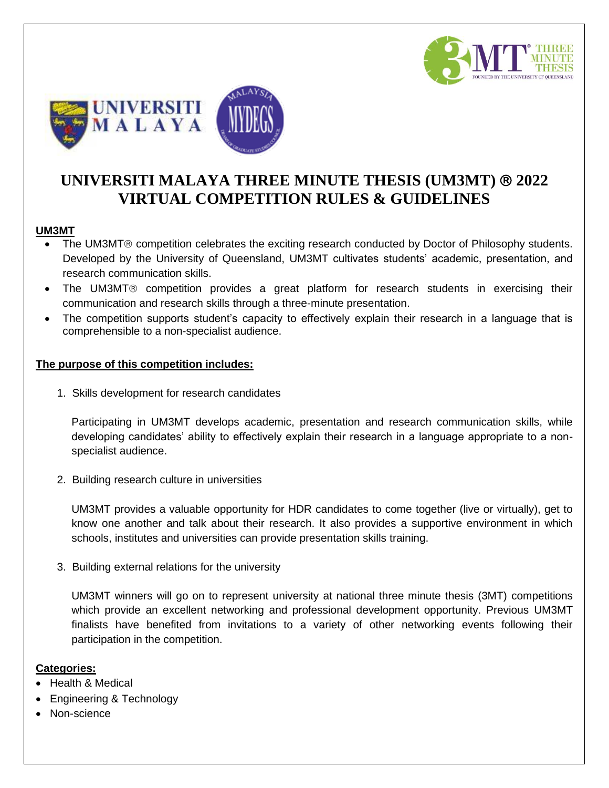



# **UNIVERSITI MALAYA THREE MINUTE THESIS (UM3MT) 2022 VIRTUAL COMPETITION RULES & GUIDELINES**

#### **UM3MT**

- The UM3MT® competition celebrates the exciting research conducted by Doctor of Philosophy students. Developed by the University of Queensland, UM3MT cultivates students' academic, presentation, and research communication skills.
- The UM3MT® competition provides a great platform for research students in exercising their communication and research skills through a three-minute presentation.
- The competition supports student's capacity to effectively explain their research in a language that is comprehensible to a non-specialist audience.

#### **The purpose of this competition includes:**

1. Skills development for research candidates

Participating in UM3MT develops academic, presentation and research communication skills, while developing candidates' ability to effectively explain their research in a language appropriate to a nonspecialist audience.

2. Building research culture in universities

UM3MT provides a valuable opportunity for HDR candidates to come together (live or virtually), get to know one another and talk about their research. It also provides a supportive environment in which schools, institutes and universities can provide presentation skills training.

3. Building external relations for the university

UM3MT winners will go on to represent university at national three minute thesis (3MT) competitions which provide an excellent networking and professional development opportunity. Previous UM3MT finalists have benefited from invitations to a variety of other networking events following their participation in the competition.

#### **Categories:**

- Health & Medical
- Engineering & Technology
- Non-science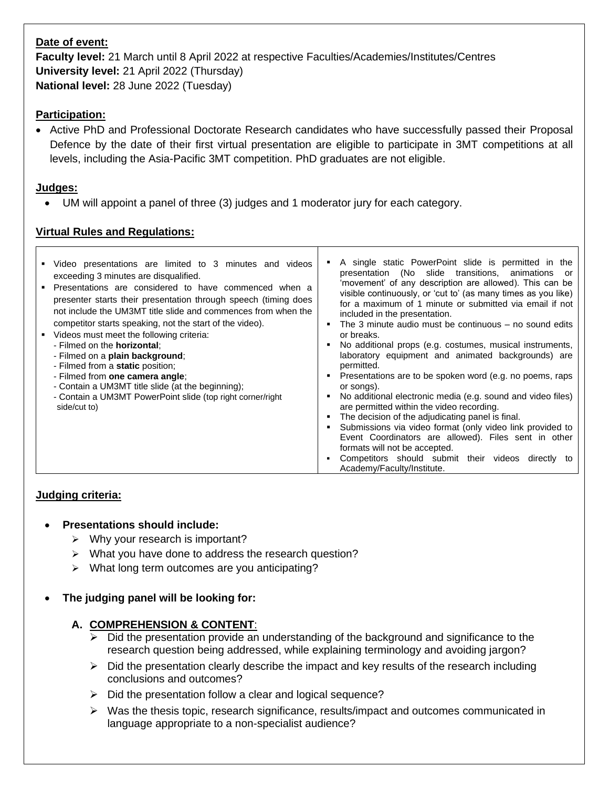#### **Date of event:**

**Faculty level:** 21 March until 8 April 2022 at respective Faculties/Academies/Institutes/Centres **University level:** 21 April 2022 (Thursday) **National level:** 28 June 2022 (Tuesday)

## **Participation:**

• Active PhD and Professional Doctorate Research candidates who have successfully passed their Proposal Defence by the date of their first virtual presentation are eligible to participate in 3MT competitions at all levels, including the Asia-Pacific 3MT competition. PhD graduates are not eligible.

### **Judges:**

 $\Gamma$ 

• UM will appoint a panel of three (3) judges and 1 moderator jury for each category.

## **Virtual Rules and Regulations:**

| Video presentations are limited to 3 minutes and videos<br>exceeding 3 minutes are disqualified.<br>Presentations are considered to have commenced when a<br>presenter starts their presentation through speech (timing does<br>not include the UM3MT title slide and commences from when the<br>competitor starts speaking, not the start of the video).<br>Videos must meet the following criteria:<br>- Filmed on the <b>horizontal</b> :<br>- Filmed on a <b>plain background</b> ;<br>- Filmed from a static position;<br>- Filmed from one camera angle;<br>- Contain a UM3MT title slide (at the beginning);<br>- Contain a UM3MT PowerPoint slide (top right corner/right<br>side/cut to) | A single static PowerPoint slide is permitted in the<br>presentation (No slide transitions, animations<br>or<br>'movement' of any description are allowed). This can be<br>visible continuously, or 'cut to' (as many times as you like)<br>for a maximum of 1 minute or submitted via email if not<br>included in the presentation.<br>The 3 minute audio must be continuous $-$ no sound edits<br>٠<br>or breaks.<br>No additional props (e.g. costumes, musical instruments,<br>٠<br>laboratory equipment and animated backgrounds) are<br>permitted.<br>Presentations are to be spoken word (e.g. no poems, raps<br>٠<br>or songs).<br>No additional electronic media (e.g. sound and video files)<br>٠<br>are permitted within the video recording.<br>The decision of the adjudicating panel is final.<br>Submissions via video format (only video link provided to<br>٠<br>Event Coordinators are allowed). Files sent in other<br>formats will not be accepted.<br>Competitors should submit their videos<br>directly to<br>٠<br>Academy/Faculty/Institute. |
|---------------------------------------------------------------------------------------------------------------------------------------------------------------------------------------------------------------------------------------------------------------------------------------------------------------------------------------------------------------------------------------------------------------------------------------------------------------------------------------------------------------------------------------------------------------------------------------------------------------------------------------------------------------------------------------------------|---------------------------------------------------------------------------------------------------------------------------------------------------------------------------------------------------------------------------------------------------------------------------------------------------------------------------------------------------------------------------------------------------------------------------------------------------------------------------------------------------------------------------------------------------------------------------------------------------------------------------------------------------------------------------------------------------------------------------------------------------------------------------------------------------------------------------------------------------------------------------------------------------------------------------------------------------------------------------------------------------------------------------------------------------------------------|
|---------------------------------------------------------------------------------------------------------------------------------------------------------------------------------------------------------------------------------------------------------------------------------------------------------------------------------------------------------------------------------------------------------------------------------------------------------------------------------------------------------------------------------------------------------------------------------------------------------------------------------------------------------------------------------------------------|---------------------------------------------------------------------------------------------------------------------------------------------------------------------------------------------------------------------------------------------------------------------------------------------------------------------------------------------------------------------------------------------------------------------------------------------------------------------------------------------------------------------------------------------------------------------------------------------------------------------------------------------------------------------------------------------------------------------------------------------------------------------------------------------------------------------------------------------------------------------------------------------------------------------------------------------------------------------------------------------------------------------------------------------------------------------|

## **Judging criteria:**

#### • **Presentations should include:**

- $\triangleright$  Why your research is important?
- ➢ What you have done to address the research question?
- ➢ What long term outcomes are you anticipating?
- **The judging panel will be looking for:**

#### **A. COMPREHENSION & CONTENT**:

- $\triangleright$  Did the presentation provide an understanding of the background and significance to the research question being addressed, while explaining terminology and avoiding jargon?
- ➢ Did the presentation clearly describe the impact and key results of the research including conclusions and outcomes?
- ➢ Did the presentation follow a clear and logical sequence?
- $\triangleright$  Was the thesis topic, research significance, results/impact and outcomes communicated in language appropriate to a non-specialist audience?